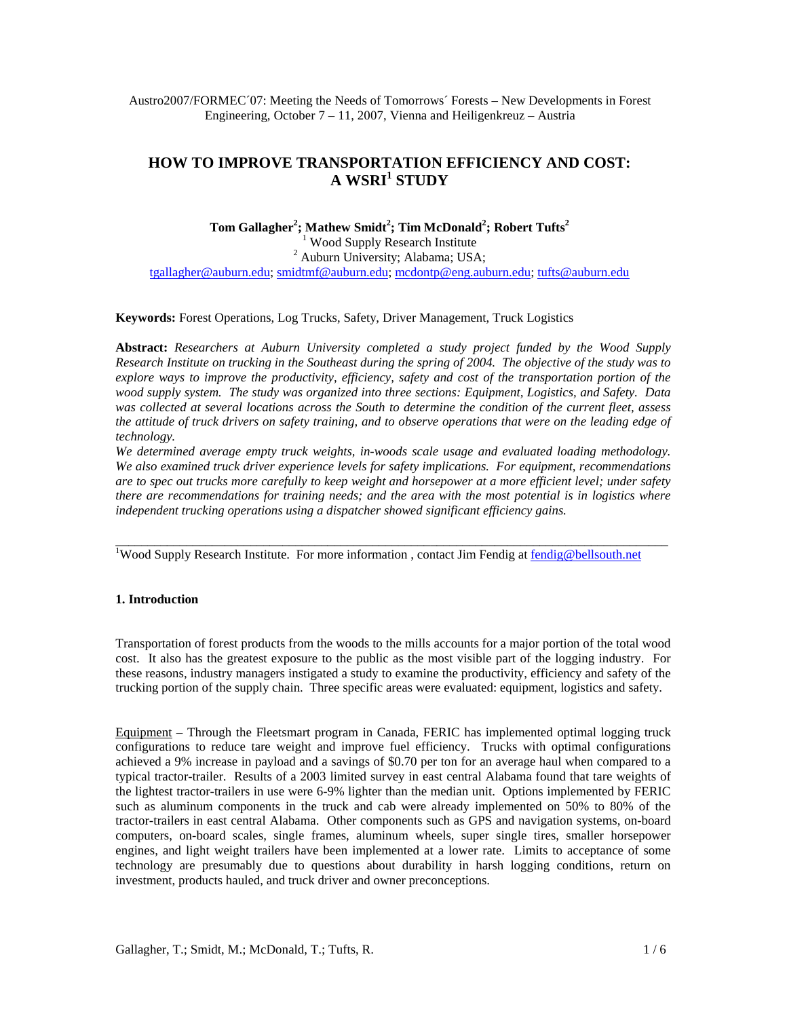Austro2007/FORMEC´07: Meeting the Needs of Tomorrows´ Forests – New Developments in Forest Engineering, October 7 – 11, 2007, Vienna and Heiligenkreuz – Austria

# **HOW TO IMPROVE TRANSPORTATION EFFICIENCY AND COST: A WSRI<sup>1</sup> STUDY**

**Tom Gallagher<sup>2</sup> ; Mathew Smidt<sup>2</sup> ; Tim McDonald<sup>2</sup> ; Robert Tufts<sup>2</sup>** <sup>1</sup> Wood Supply Research Institute <sup>1</sup> Wood Supply Research Institute<br><sup>2</sup> Auburn University; Alabama; USA;

tgallagher@auburn.edu; smidtmf@auburn.edu; mcdontp@eng.auburn.edu; tufts@auburn.edu

**Keywords:** Forest Operations, Log Trucks, Safety, Driver Management, Truck Logistics

**Abstract:** *Researchers at Auburn University completed a study project funded by the Wood Supply Research Institute on trucking in the Southeast during the spring of 2004. The objective of the study was to explore ways to improve the productivity, efficiency, safety and cost of the transportation portion of the wood supply system. The study was organized into three sections: Equipment, Logistics, and Safety. Data was collected at several locations across the South to determine the condition of the current fleet, assess the attitude of truck drivers on safety training, and to observe operations that were on the leading edge of technology.* 

*We determined average empty truck weights, in-woods scale usage and evaluated loading methodology. We also examined truck driver experience levels for safety implications. For equipment, recommendations are to spec out trucks more carefully to keep weight and horsepower at a more efficient level; under safety there are recommendations for training needs; and the area with the most potential is in logistics where independent trucking operations using a dispatcher showed significant efficiency gains.* 

 $\_$  ,  $\_$  ,  $\_$  ,  $\_$  ,  $\_$  ,  $\_$  ,  $\_$  ,  $\_$  ,  $\_$  ,  $\_$  ,  $\_$  ,  $\_$  ,  $\_$  ,  $\_$  ,  $\_$  ,  $\_$  ,  $\_$  ,  $\_$  ,  $\_$  ,  $\_$  ,  $\_$  ,  $\_$  ,  $\_$  ,  $\_$  ,  $\_$  ,  $\_$  ,  $\_$  ,  $\_$  ,  $\_$  ,  $\_$  ,  $\_$  ,  $\_$  ,  $\_$  ,  $\_$  ,  $\_$  ,  $\_$  ,  $\_$  ,

<sup>1</sup>Wood Supply Research Institute. For more information, contact Jim Fendig at [fendig@bellsouth.net](mailto:fendig@bellsouth.net)

# **1. Introduction**

Transportation of forest products from the woods to the mills accounts for a major portion of the total wood cost. It also has the greatest exposure to the public as the most visible part of the logging industry. For these reasons, industry managers instigated a study to examine the productivity, efficiency and safety of the trucking portion of the supply chain. Three specific areas were evaluated: equipment, logistics and safety.

Equipment – Through the Fleetsmart program in Canada, FERIC has implemented optimal logging truck configurations to reduce tare weight and improve fuel efficiency. Trucks with optimal configurations achieved a 9% increase in payload and a savings of \$0.70 per ton for an average haul when compared to a typical tractor-trailer. Results of a 2003 limited survey in east central Alabama found that tare weights of the lightest tractor-trailers in use were 6-9% lighter than the median unit. Options implemented by FERIC such as aluminum components in the truck and cab were already implemented on 50% to 80% of the tractor-trailers in east central Alabama. Other components such as GPS and navigation systems, on-board computers, on-board scales, single frames, aluminum wheels, super single tires, smaller horsepower engines, and light weight trailers have been implemented at a lower rate. Limits to acceptance of some technology are presumably due to questions about durability in harsh logging conditions, return on investment, products hauled, and truck driver and owner preconceptions.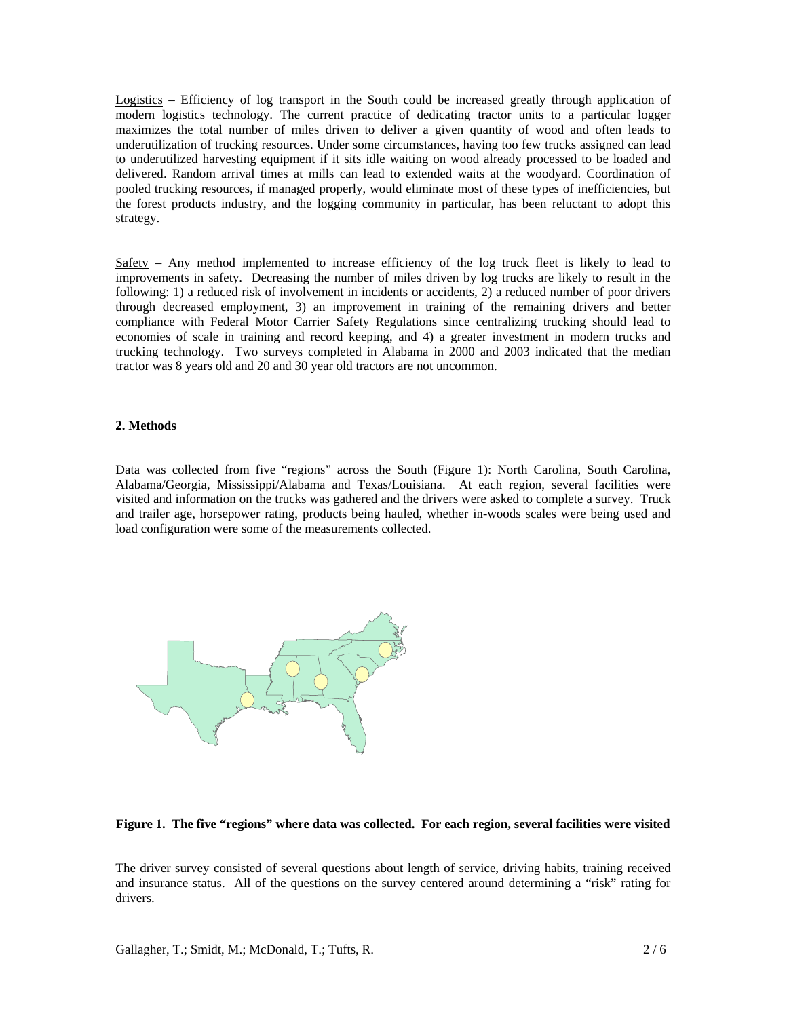Logistics – Efficiency of log transport in the South could be increased greatly through application of modern logistics technology. The current practice of dedicating tractor units to a particular logger maximizes the total number of miles driven to deliver a given quantity of wood and often leads to underutilization of trucking resources. Under some circumstances, having too few trucks assigned can lead to underutilized harvesting equipment if it sits idle waiting on wood already processed to be loaded and delivered. Random arrival times at mills can lead to extended waits at the woodyard. Coordination of pooled trucking resources, if managed properly, would eliminate most of these types of inefficiencies, but the forest products industry, and the logging community in particular, has been reluctant to adopt this strategy.

Safety – Any method implemented to increase efficiency of the log truck fleet is likely to lead to improvements in safety. Decreasing the number of miles driven by log trucks are likely to result in the following: 1) a reduced risk of involvement in incidents or accidents, 2) a reduced number of poor drivers through decreased employment, 3) an improvement in training of the remaining drivers and better compliance with Federal Motor Carrier Safety Regulations since centralizing trucking should lead to economies of scale in training and record keeping, and 4) a greater investment in modern trucks and trucking technology. Two surveys completed in Alabama in 2000 and 2003 indicated that the median tractor was 8 years old and 20 and 30 year old tractors are not uncommon.

# **2. Methods**

Data was collected from five "regions" across the South (Figure 1): North Carolina, South Carolina, Alabama/Georgia, Mississippi/Alabama and Texas/Louisiana. At each region, several facilities were visited and information on the trucks was gathered and the drivers were asked to complete a survey. Truck and trailer age, horsepower rating, products being hauled, whether in-woods scales were being used and load configuration were some of the measurements collected.



#### **Figure 1. The five "regions" where data was collected. For each region, several facilities were visited**

The driver survey consisted of several questions about length of service, driving habits, training received and insurance status. All of the questions on the survey centered around determining a "risk" rating for drivers.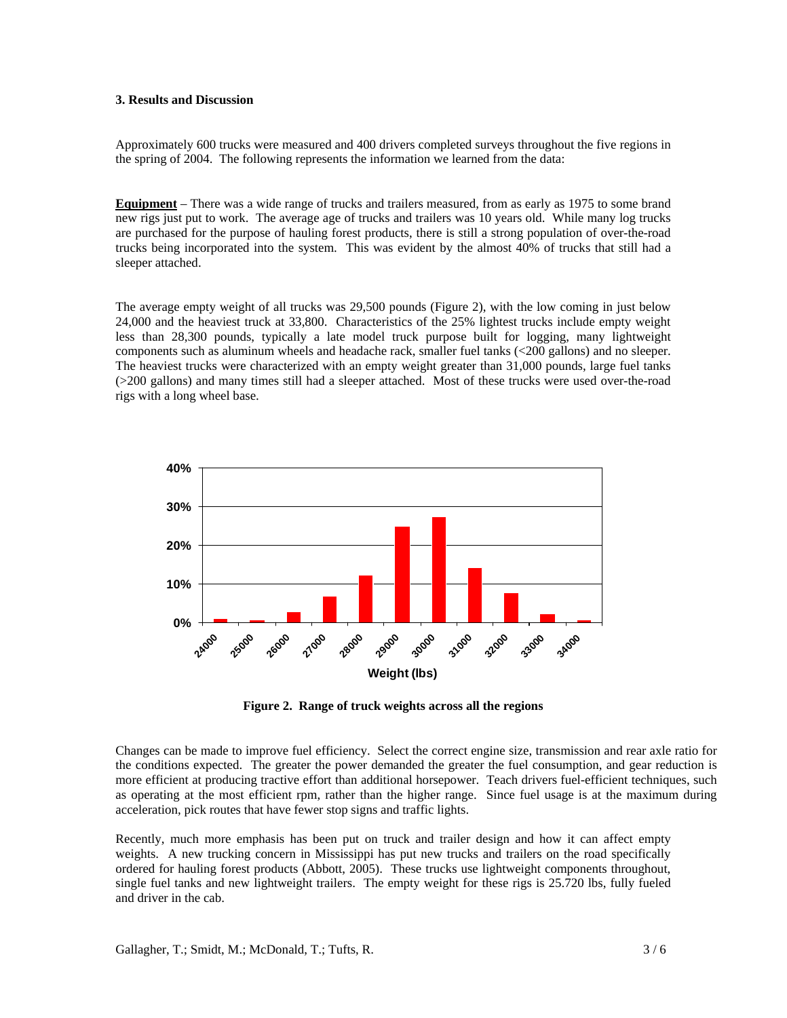# **3. Results and Discussion**

Approximately 600 trucks were measured and 400 drivers completed surveys throughout the five regions in the spring of 2004. The following represents the information we learned from the data:

**Equipment** – There was a wide range of trucks and trailers measured, from as early as 1975 to some brand new rigs just put to work. The average age of trucks and trailers was 10 years old. While many log trucks are purchased for the purpose of hauling forest products, there is still a strong population of over-the-road trucks being incorporated into the system. This was evident by the almost 40% of trucks that still had a sleeper attached.

The average empty weight of all trucks was 29,500 pounds (Figure 2), with the low coming in just below 24,000 and the heaviest truck at 33,800. Characteristics of the 25% lightest trucks include empty weight less than 28,300 pounds, typically a late model truck purpose built for logging, many lightweight components such as aluminum wheels and headache rack, smaller fuel tanks (<200 gallons) and no sleeper. The heaviest trucks were characterized with an empty weight greater than 31,000 pounds, large fuel tanks (>200 gallons) and many times still had a sleeper attached. Most of these trucks were used over-the-road rigs with a long wheel base.



**Figure 2. Range of truck weights across all the regions** 

Changes can be made to improve fuel efficiency. Select the correct engine size, transmission and rear axle ratio for the conditions expected. The greater the power demanded the greater the fuel consumption, and gear reduction is more efficient at producing tractive effort than additional horsepower. Teach drivers fuel-efficient techniques, such as operating at the most efficient rpm, rather than the higher range. Since fuel usage is at the maximum during acceleration, pick routes that have fewer stop signs and traffic lights.

Recently, much more emphasis has been put on truck and trailer design and how it can affect empty weights. A new trucking concern in Mississippi has put new trucks and trailers on the road specifically ordered for hauling forest products (Abbott, 2005). These trucks use lightweight components throughout, single fuel tanks and new lightweight trailers. The empty weight for these rigs is 25.720 lbs, fully fueled and driver in the cab.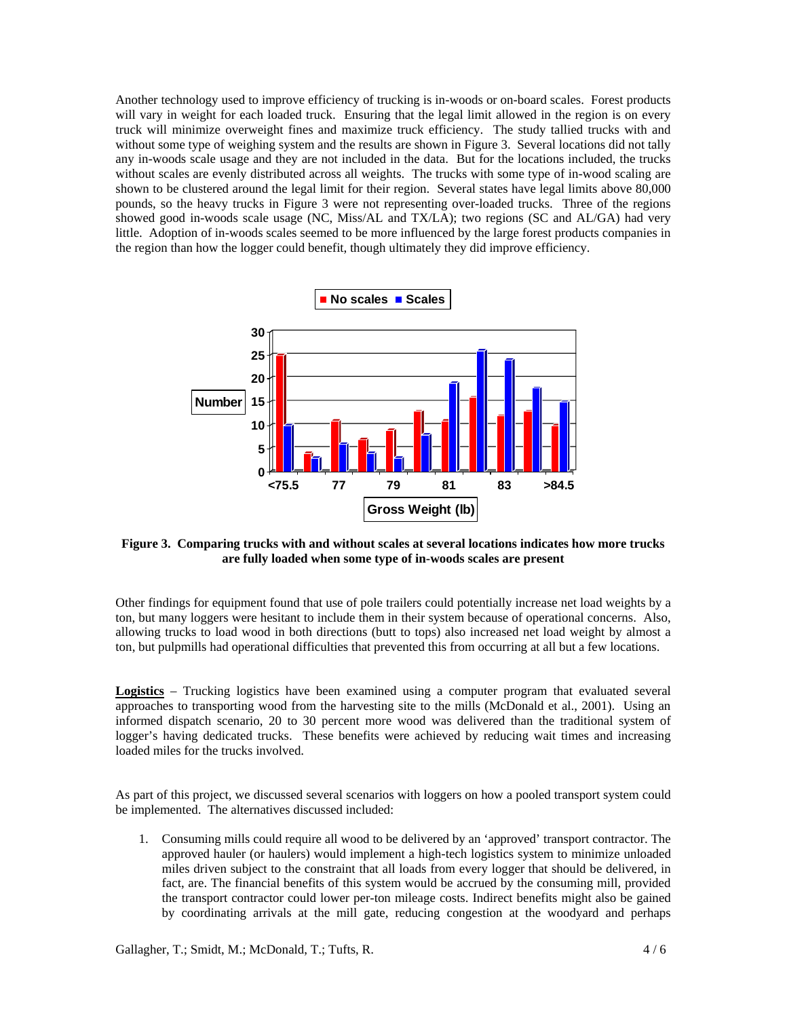Another technology used to improve efficiency of trucking is in-woods or on-board scales. Forest products will vary in weight for each loaded truck. Ensuring that the legal limit allowed in the region is on every truck will minimize overweight fines and maximize truck efficiency. The study tallied trucks with and without some type of weighing system and the results are shown in Figure 3. Several locations did not tally any in-woods scale usage and they are not included in the data. But for the locations included, the trucks without scales are evenly distributed across all weights. The trucks with some type of in-wood scaling are shown to be clustered around the legal limit for their region. Several states have legal limits above 80,000 pounds, so the heavy trucks in Figure 3 were not representing over-loaded trucks. Three of the regions showed good in-woods scale usage (NC, Miss/AL and TX/LA); two regions (SC and AL/GA) had very little. Adoption of in-woods scales seemed to be more influenced by the large forest products companies in the region than how the logger could benefit, though ultimately they did improve efficiency.



**Figure 3. Comparing trucks with and without scales at several locations indicates how more trucks are fully loaded when some type of in-woods scales are present** 

Other findings for equipment found that use of pole trailers could potentially increase net load weights by a ton, but many loggers were hesitant to include them in their system because of operational concerns. Also, allowing trucks to load wood in both directions (butt to tops) also increased net load weight by almost a ton, but pulpmills had operational difficulties that prevented this from occurring at all but a few locations.

**Logistics** – Trucking logistics have been examined using a computer program that evaluated several approaches to transporting wood from the harvesting site to the mills (McDonald et al., 2001). Using an informed dispatch scenario, 20 to 30 percent more wood was delivered than the traditional system of logger's having dedicated trucks. These benefits were achieved by reducing wait times and increasing loaded miles for the trucks involved.

As part of this project, we discussed several scenarios with loggers on how a pooled transport system could be implemented. The alternatives discussed included:

1. Consuming mills could require all wood to be delivered by an 'approved' transport contractor. The approved hauler (or haulers) would implement a high-tech logistics system to minimize unloaded miles driven subject to the constraint that all loads from every logger that should be delivered, in fact, are. The financial benefits of this system would be accrued by the consuming mill, provided the transport contractor could lower per-ton mileage costs. Indirect benefits might also be gained by coordinating arrivals at the mill gate, reducing congestion at the woodyard and perhaps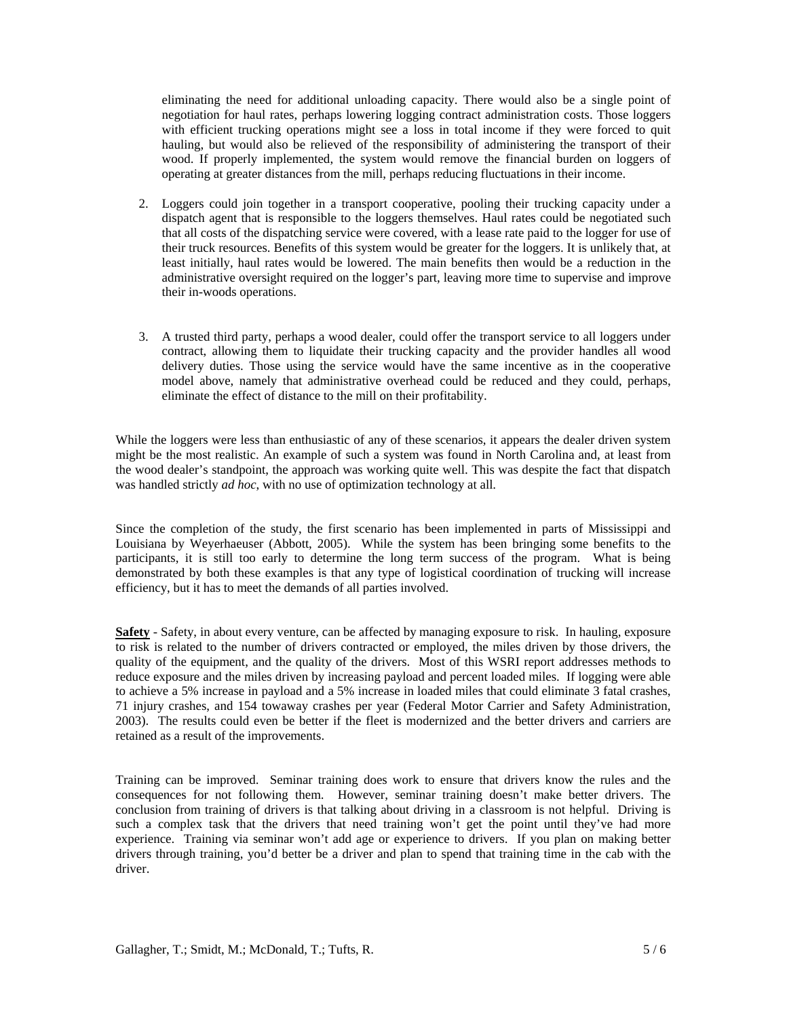eliminating the need for additional unloading capacity. There would also be a single point of negotiation for haul rates, perhaps lowering logging contract administration costs. Those loggers with efficient trucking operations might see a loss in total income if they were forced to quit hauling, but would also be relieved of the responsibility of administering the transport of their wood. If properly implemented, the system would remove the financial burden on loggers of operating at greater distances from the mill, perhaps reducing fluctuations in their income.

- 2. Loggers could join together in a transport cooperative, pooling their trucking capacity under a dispatch agent that is responsible to the loggers themselves. Haul rates could be negotiated such that all costs of the dispatching service were covered, with a lease rate paid to the logger for use of their truck resources. Benefits of this system would be greater for the loggers. It is unlikely that, at least initially, haul rates would be lowered. The main benefits then would be a reduction in the administrative oversight required on the logger's part, leaving more time to supervise and improve their in-woods operations.
- 3. A trusted third party, perhaps a wood dealer, could offer the transport service to all loggers under contract, allowing them to liquidate their trucking capacity and the provider handles all wood delivery duties. Those using the service would have the same incentive as in the cooperative model above, namely that administrative overhead could be reduced and they could, perhaps, eliminate the effect of distance to the mill on their profitability.

While the loggers were less than enthusiastic of any of these scenarios, it appears the dealer driven system might be the most realistic. An example of such a system was found in North Carolina and, at least from the wood dealer's standpoint, the approach was working quite well. This was despite the fact that dispatch was handled strictly *ad hoc*, with no use of optimization technology at all.

Since the completion of the study, the first scenario has been implemented in parts of Mississippi and Louisiana by Weyerhaeuser (Abbott, 2005). While the system has been bringing some benefits to the participants, it is still too early to determine the long term success of the program. What is being demonstrated by both these examples is that any type of logistical coordination of trucking will increase efficiency, but it has to meet the demands of all parties involved.

**Safety** - Safety, in about every venture, can be affected by managing exposure to risk. In hauling, exposure to risk is related to the number of drivers contracted or employed, the miles driven by those drivers, the quality of the equipment, and the quality of the drivers. Most of this WSRI report addresses methods to reduce exposure and the miles driven by increasing payload and percent loaded miles. If logging were able to achieve a 5% increase in payload and a 5% increase in loaded miles that could eliminate 3 fatal crashes, 71 injury crashes, and 154 towaway crashes per year (Federal Motor Carrier and Safety Administration, 2003). The results could even be better if the fleet is modernized and the better drivers and carriers are retained as a result of the improvements.

Training can be improved. Seminar training does work to ensure that drivers know the rules and the consequences for not following them. However, seminar training doesn't make better drivers. The conclusion from training of drivers is that talking about driving in a classroom is not helpful. Driving is such a complex task that the drivers that need training won't get the point until they've had more experience. Training via seminar won't add age or experience to drivers. If you plan on making better drivers through training, you'd better be a driver and plan to spend that training time in the cab with the driver.